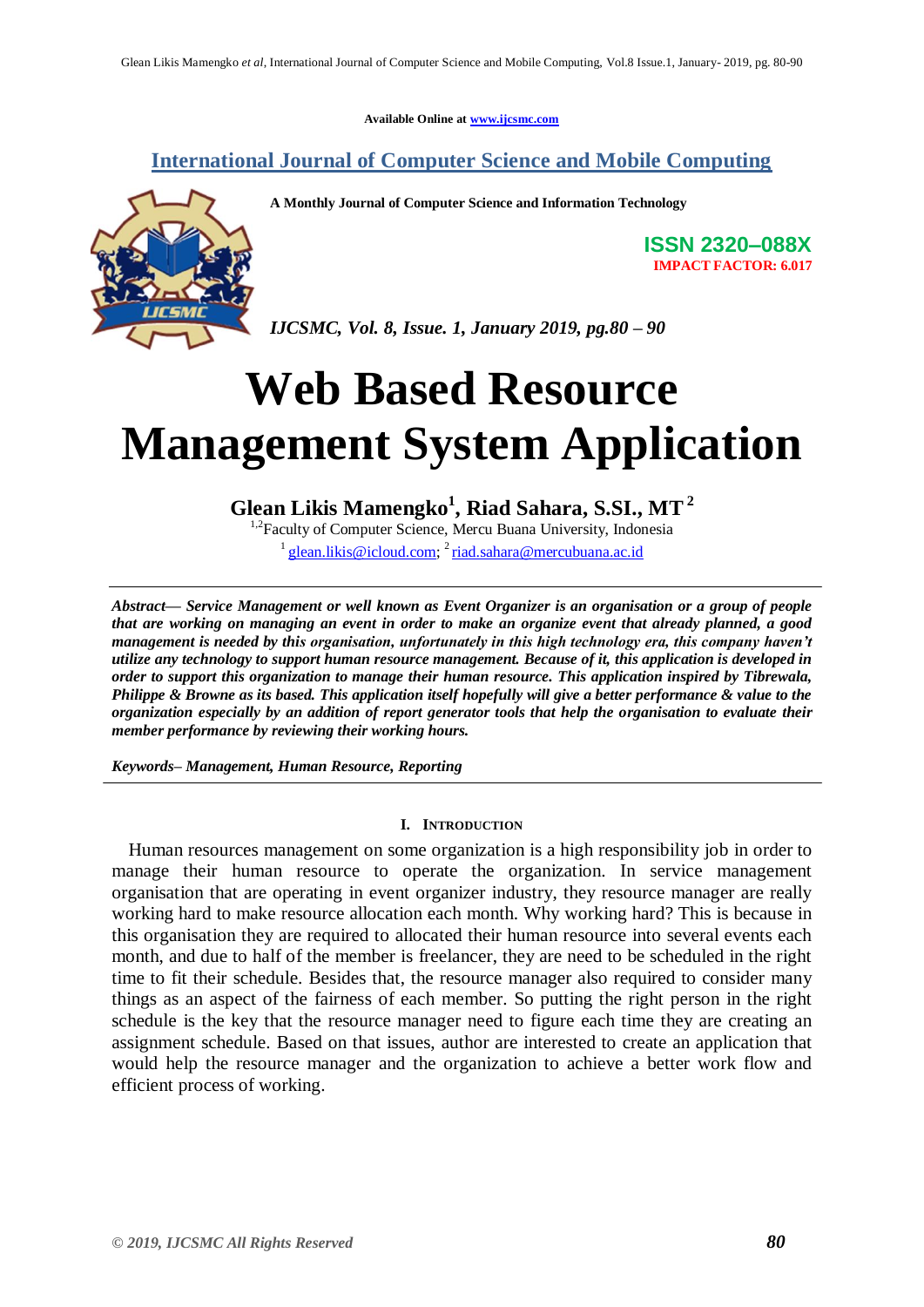**Available Online at [www.ijcsmc.com](http://www.ijcsmc.com/)**

# **International Journal of Computer Science and Mobile Computing**



**A Monthly Journal of Computer Science and Information Technology**

**ISSN 2320–088X IMPACT FACTOR: 6.017**

*IJCSMC, Vol. 8, Issue. 1, January 2019, pg.80 – 90*

# **Web Based Resource Management System Application**

# **Glean Likis Mamengko<sup>1</sup> , Riad Sahara, S.SI., MT 2**

<sup>1,2</sup> Faculty of Computer Science, Mercu Buana University, Indonesia

<sup>1</sup> [glean.likis@icloud.com;](mailto:glean.likis@icloud.com) <sup>2</sup> [riad.sahara@mercubuana.ac.id](mailto:riad.sahara@mercubuana.ac.id)

*Abstract— Service Management or well known as Event Organizer is an organisation or a group of people that are working on managing an event in order to make an organize event that already planned, a good management is needed by this organisation, unfortunately in this high technology era, this company haven't utilize any technology to support human resource management. Because of it, this application is developed in order to support this organization to manage their human resource. This application inspired by Tibrewala, Philippe & Browne as its based. This application itself hopefully will give a better performance & value to the organization especially by an addition of report generator tools that help the organisation to evaluate their member performance by reviewing their working hours.*

*Keywords– Management, Human Resource, Reporting*

#### **I. INTRODUCTION**

Human resources management on some organization is a high responsibility job in order to manage their human resource to operate the organization. In service management organisation that are operating in event organizer industry, they resource manager are really working hard to make resource allocation each month. Why working hard? This is because in this organisation they are required to allocated their human resource into several events each month, and due to half of the member is freelancer, they are need to be scheduled in the right time to fit their schedule. Besides that, the resource manager also required to consider many things as an aspect of the fairness of each member. So putting the right person in the right schedule is the key that the resource manager need to figure each time they are creating an assignment schedule. Based on that issues, author are interested to create an application that would help the resource manager and the organization to achieve a better work flow and efficient process of working.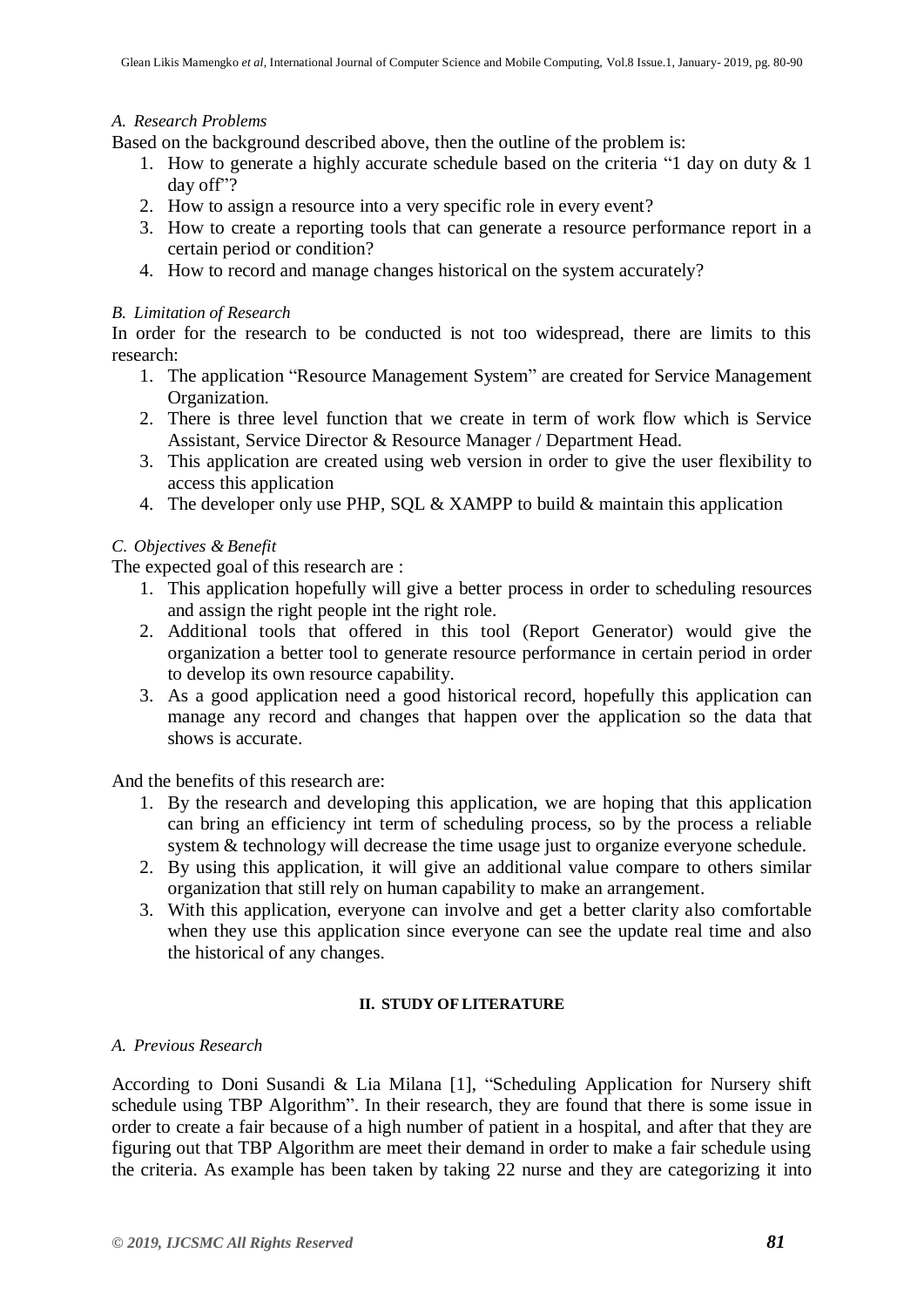#### *A. Research Problems*

Based on the background described above, then the outline of the problem is:

- 1. How to generate a highly accurate schedule based on the criteria "1 day on duty & 1 day off"?
- 2. How to assign a resource into a very specific role in every event?
- 3. How to create a reporting tools that can generate a resource performance report in a certain period or condition?
- 4. How to record and manage changes historical on the system accurately?

#### *B. Limitation of Research*

In order for the research to be conducted is not too widespread, there are limits to this research:

- 1. The application "Resource Management System" are created for Service Management Organization.
- 2. There is three level function that we create in term of work flow which is Service Assistant, Service Director & Resource Manager / Department Head.
- 3. This application are created using web version in order to give the user flexibility to access this application
- 4. The developer only use PHP, SQL & XAMPP to build & maintain this application

### *C. Objectives & Benefit*

The expected goal of this research are :

- 1. This application hopefully will give a better process in order to scheduling resources and assign the right people int the right role.
- 2. Additional tools that offered in this tool (Report Generator) would give the organization a better tool to generate resource performance in certain period in order to develop its own resource capability.
- 3. As a good application need a good historical record, hopefully this application can manage any record and changes that happen over the application so the data that shows is accurate.

And the benefits of this research are:

- 1. By the research and developing this application, we are hoping that this application can bring an efficiency int term of scheduling process, so by the process a reliable system & technology will decrease the time usage just to organize everyone schedule.
- 2. By using this application, it will give an additional value compare to others similar organization that still rely on human capability to make an arrangement.
- 3. With this application, everyone can involve and get a better clarity also comfortable when they use this application since everyone can see the update real time and also the historical of any changes.

#### **II. STUDY OF LITERATURE**

#### *A. Previous Research*

According to Doni Susandi & Lia Milana [1], "Scheduling Application for Nursery shift schedule using TBP Algorithm". In their research, they are found that there is some issue in order to create a fair because of a high number of patient in a hospital, and after that they are figuring out that TBP Algorithm are meet their demand in order to make a fair schedule using the criteria. As example has been taken by taking 22 nurse and they are categorizing it into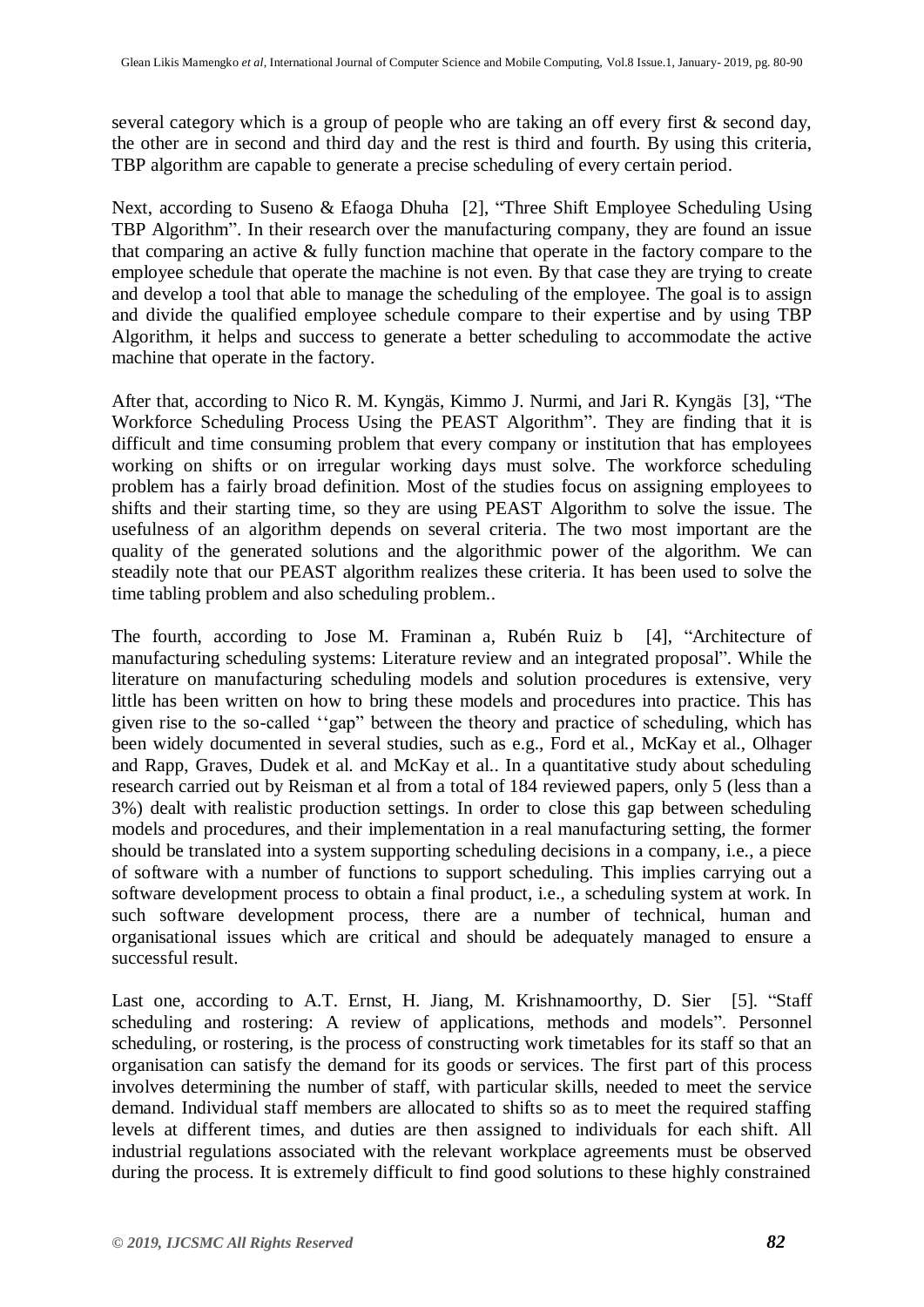several category which is a group of people who are taking an off every first & second day, the other are in second and third day and the rest is third and fourth. By using this criteria, TBP algorithm are capable to generate a precise scheduling of every certain period.

Next, according to Suseno & Efaoga Dhuha [2], "Three Shift Employee Scheduling Using TBP Algorithm". In their research over the manufacturing company, they are found an issue that comparing an active & fully function machine that operate in the factory compare to the employee schedule that operate the machine is not even. By that case they are trying to create and develop a tool that able to manage the scheduling of the employee. The goal is to assign and divide the qualified employee schedule compare to their expertise and by using TBP Algorithm, it helps and success to generate a better scheduling to accommodate the active machine that operate in the factory.

After that, according to Nico R. M. Kyngäs, Kimmo J. Nurmi, and Jari R. Kyngäs [3], "The Workforce Scheduling Process Using the PEAST Algorithm". They are finding that it is difficult and time consuming problem that every company or institution that has employees working on shifts or on irregular working days must solve. The workforce scheduling problem has a fairly broad definition. Most of the studies focus on assigning employees to shifts and their starting time, so they are using PEAST Algorithm to solve the issue. The usefulness of an algorithm depends on several criteria. The two most important are the quality of the generated solutions and the algorithmic power of the algorithm. We can steadily note that our PEAST algorithm realizes these criteria. It has been used to solve the time tabling problem and also scheduling problem..

The fourth, according to Jose M. Framinan a, Rubén Ruiz b [4], "Architecture of manufacturing scheduling systems: Literature review and an integrated proposal". While the literature on manufacturing scheduling models and solution procedures is extensive, very little has been written on how to bring these models and procedures into practice. This has given rise to the so-called ""gap" between the theory and practice of scheduling, which has been widely documented in several studies, such as e.g., Ford et al., McKay et al., Olhager and Rapp, Graves, Dudek et al. and McKay et al.. In a quantitative study about scheduling research carried out by Reisman et al from a total of 184 reviewed papers, only 5 (less than a 3%) dealt with realistic production settings. In order to close this gap between scheduling models and procedures, and their implementation in a real manufacturing setting, the former should be translated into a system supporting scheduling decisions in a company, i.e., a piece of software with a number of functions to support scheduling. This implies carrying out a software development process to obtain a final product, i.e., a scheduling system at work. In such software development process, there are a number of technical, human and organisational issues which are critical and should be adequately managed to ensure a successful result.

Last one, according to A.T. Ernst, H. Jiang, M. Krishnamoorthy, D. Sier [5]. "Staff scheduling and rostering: A review of applications, methods and models". Personnel scheduling, or rostering, is the process of constructing work timetables for its staff so that an organisation can satisfy the demand for its goods or services. The first part of this process involves determining the number of staff, with particular skills, needed to meet the service demand. Individual staff members are allocated to shifts so as to meet the required staffing levels at different times, and duties are then assigned to individuals for each shift. All industrial regulations associated with the relevant workplace agreements must be observed during the process. It is extremely difficult to find good solutions to these highly constrained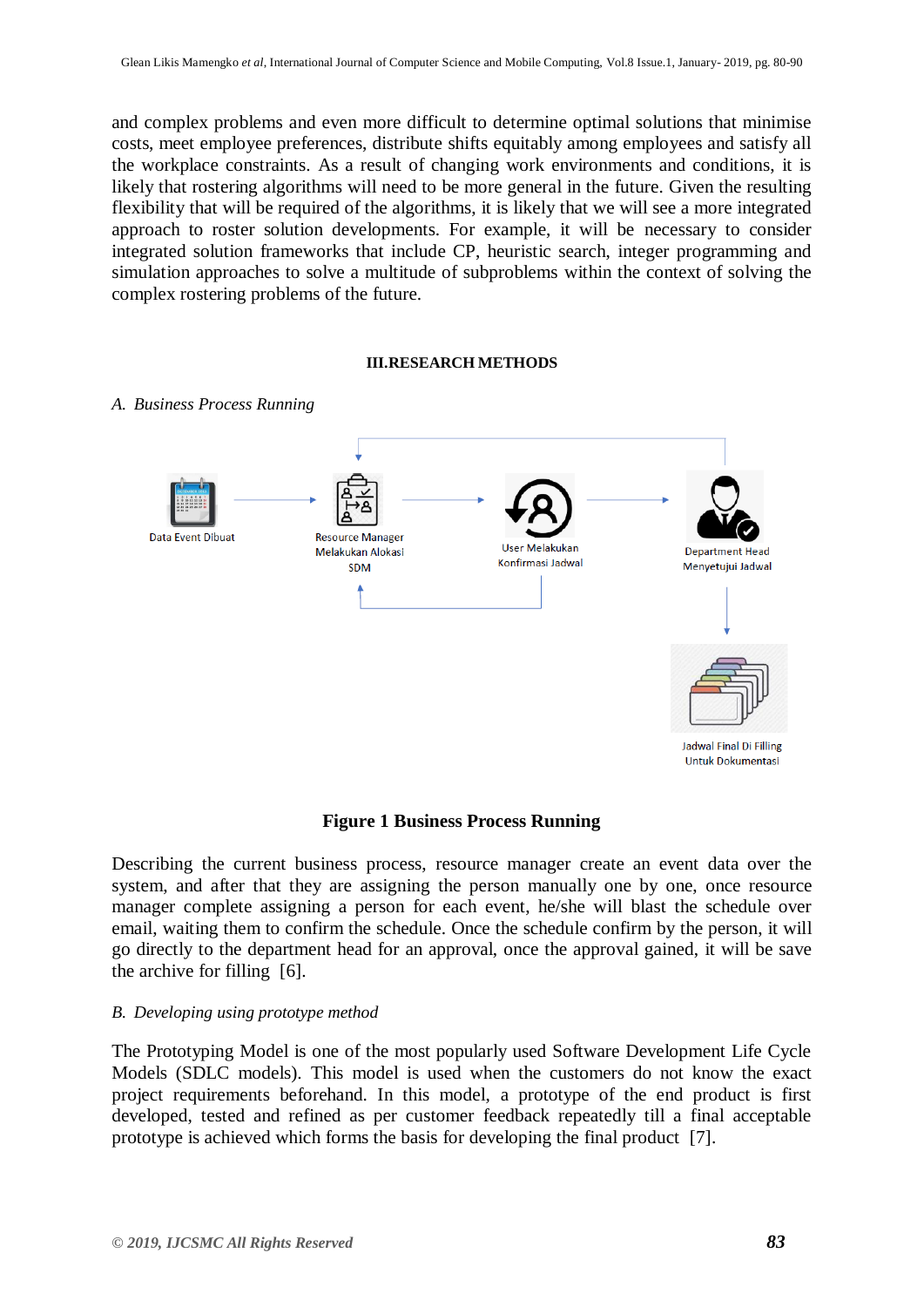and complex problems and even more difficult to determine optimal solutions that minimise costs, meet employee preferences, distribute shifts equitably among employees and satisfy all the workplace constraints. As a result of changing work environments and conditions, it is likely that rostering algorithms will need to be more general in the future. Given the resulting flexibility that will be required of the algorithms, it is likely that we will see a more integrated approach to roster solution developments. For example, it will be necessary to consider integrated solution frameworks that include CP, heuristic search, integer programming and simulation approaches to solve a multitude of subproblems within the context of solving the complex rostering problems of the future.

#### **III.RESEARCH METHODS**



#### *A. Business Process Running*

#### **Figure 1 Business Process Running**

Describing the current business process, resource manager create an event data over the system, and after that they are assigning the person manually one by one, once resource manager complete assigning a person for each event, he/she will blast the schedule over email, waiting them to confirm the schedule. Once the schedule confirm by the person, it will go directly to the department head for an approval, once the approval gained, it will be save the archive for filling [6].

#### *B. Developing using prototype method*

The Prototyping Model is one of the most popularly used Software Development Life Cycle Models (SDLC models). This model is used when the customers do not know the exact project requirements beforehand. In this model, a prototype of the end product is first developed, tested and refined as per customer feedback repeatedly till a final acceptable prototype is achieved which forms the basis for developing the final product [7].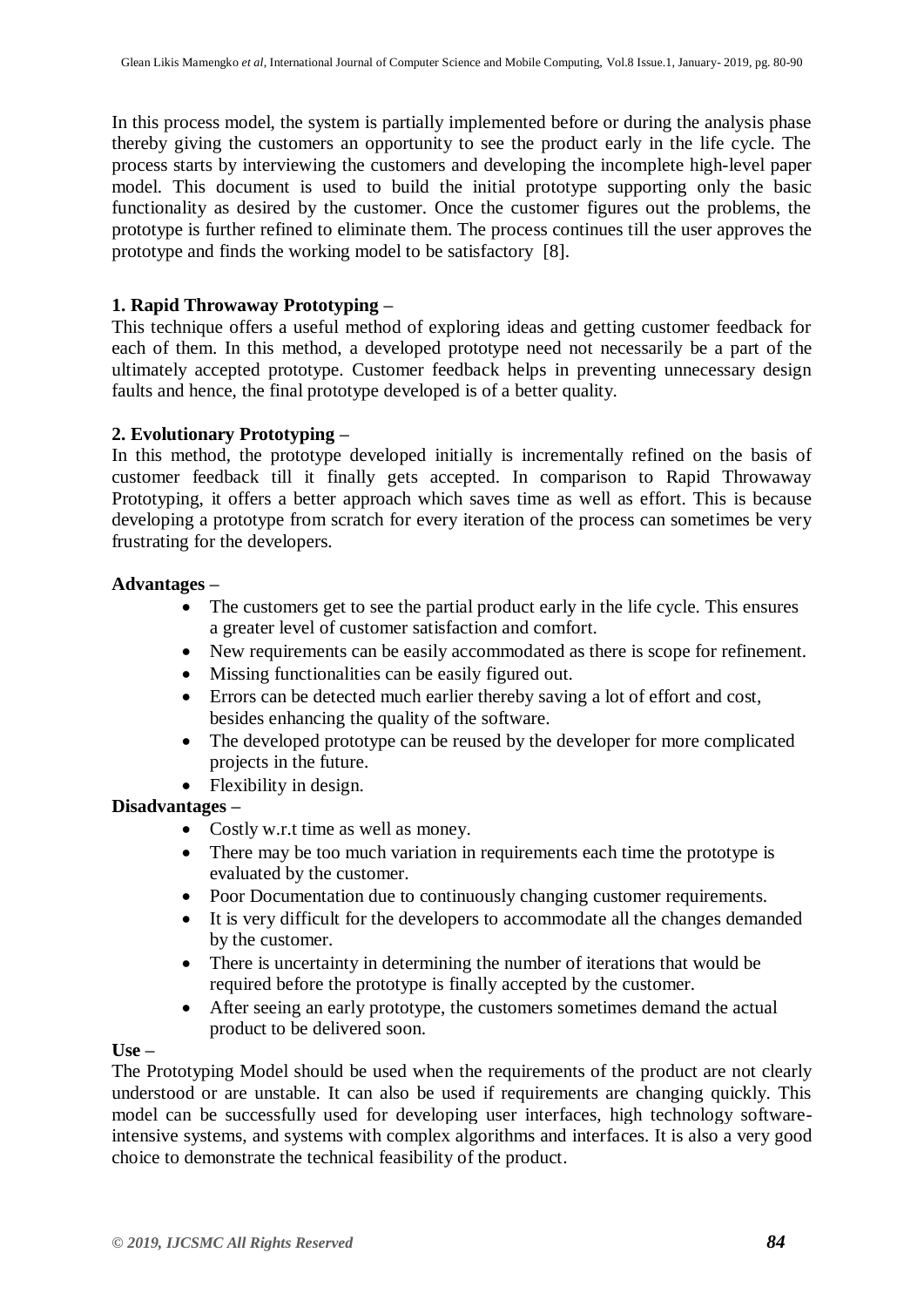In this process model, the system is partially implemented before or during the analysis phase thereby giving the customers an opportunity to see the product early in the life cycle. The process starts by interviewing the customers and developing the incomplete high-level paper model. This document is used to build the initial prototype supporting only the basic functionality as desired by the customer. Once the customer figures out the problems, the prototype is further refined to eliminate them. The process continues till the user approves the prototype and finds the working model to be satisfactory [8].

## **1. Rapid Throwaway Prototyping –**

This technique offers a useful method of exploring ideas and getting customer feedback for each of them. In this method, a developed prototype need not necessarily be a part of the ultimately accepted prototype. Customer feedback helps in preventing unnecessary design faults and hence, the final prototype developed is of a better quality.

### **2. Evolutionary Prototyping –**

In this method, the prototype developed initially is incrementally refined on the basis of customer feedback till it finally gets accepted. In comparison to Rapid Throwaway Prototyping, it offers a better approach which saves time as well as effort. This is because developing a prototype from scratch for every iteration of the process can sometimes be very frustrating for the developers.

### **Advantages –**

- The customers get to see the partial product early in the life cycle. This ensures a greater level of customer satisfaction and comfort.
- New requirements can be easily accommodated as there is scope for refinement.
- Missing functionalities can be easily figured out.
- Errors can be detected much earlier thereby saving a lot of effort and cost, besides enhancing the quality of the software.
- The developed prototype can be reused by the developer for more complicated projects in the future.
- Flexibility in design.

# **Disadvantages –**

- Costly w.r.t time as well as money.
- There may be too much variation in requirements each time the prototype is evaluated by the customer.
- Poor Documentation due to continuously changing customer requirements.
- It is very difficult for the developers to accommodate all the changes demanded by the customer.
- There is uncertainty in determining the number of iterations that would be required before the prototype is finally accepted by the customer.
- After seeing an early prototype, the customers sometimes demand the actual product to be delivered soon.

#### $Use -$

The Prototyping Model should be used when the requirements of the product are not clearly understood or are unstable. It can also be used if requirements are changing quickly. This model can be successfully used for developing user interfaces, high technology softwareintensive systems, and systems with complex algorithms and interfaces. It is also a very good choice to demonstrate the technical feasibility of the product.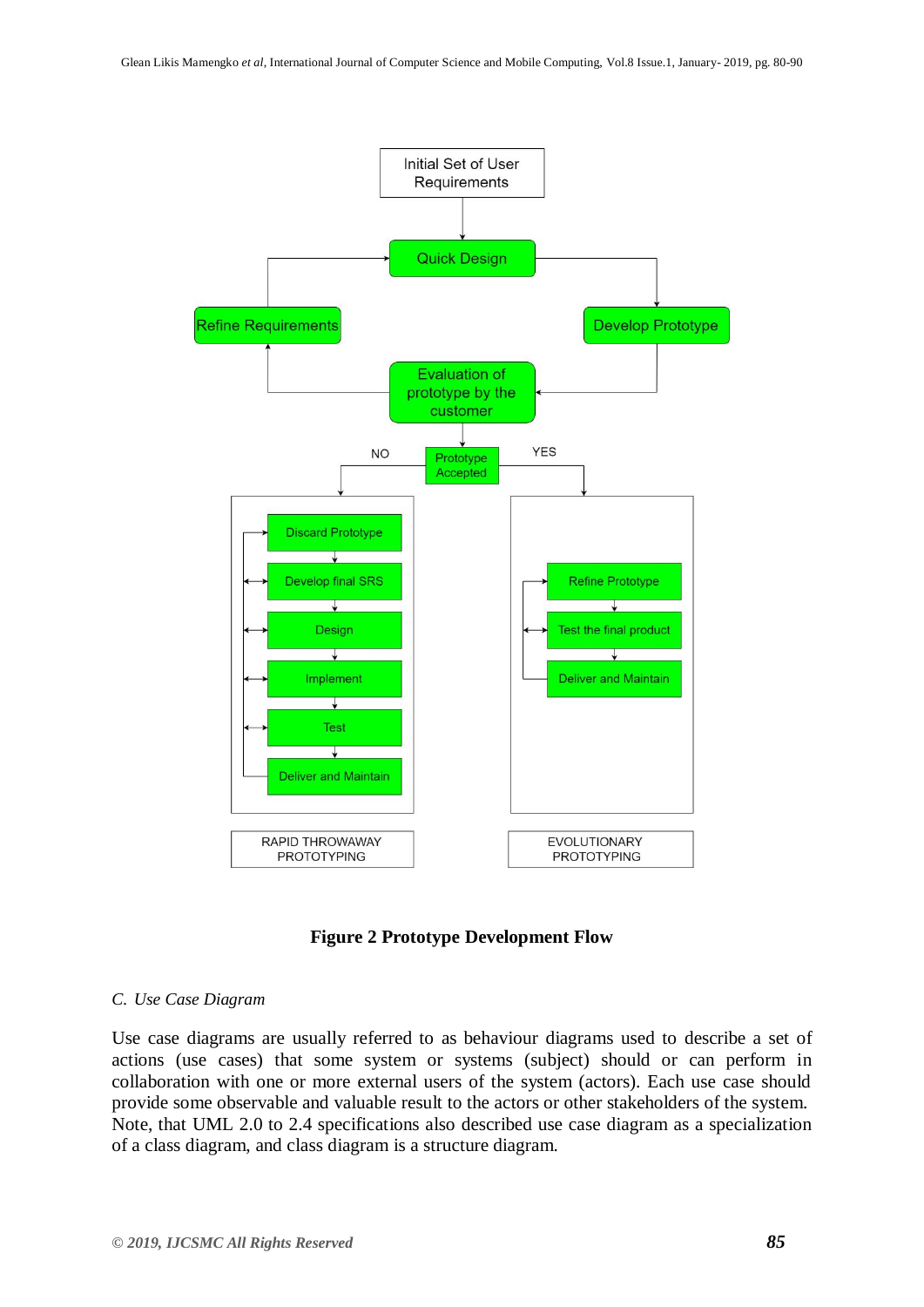

#### **Figure 2 Prototype Development Flow**

#### *C. Use Case Diagram*

Use case diagrams are usually referred to as behaviour diagrams used to describe a set of actions (use cases) that some system or systems (subject) should or can perform in collaboration with one or more external users of the system (actors). Each use case should provide some observable and valuable result to the actors or other stakeholders of the system. Note, that UML 2.0 to 2.4 specifications also described use case diagram as a specialization of a class diagram, and class diagram is a structure diagram.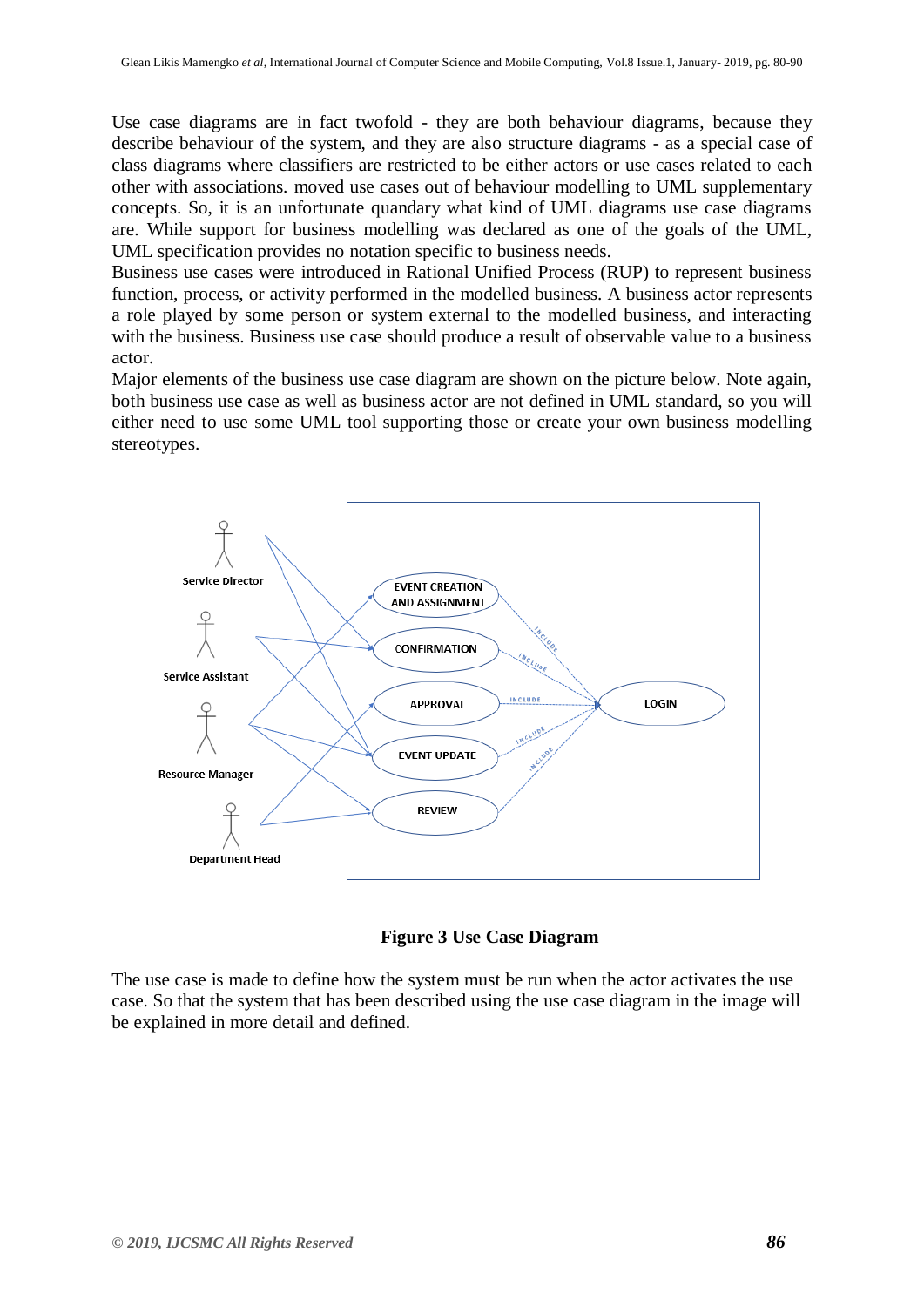Use case diagrams are in fact twofold - they are both behaviour diagrams, because they describe behaviour of the system, and they are also structure diagrams - as a special case of class diagrams where classifiers are restricted to be either actors or use cases related to each other with associations. moved use cases out of behaviour modelling to UML supplementary concepts. So, it is an unfortunate quandary what kind of UML diagrams use case diagrams are. While support for business modelling was declared as one of the goals of the UML, UML specification provides no notation specific to business needs.

Business use cases were introduced in Rational Unified Process (RUP) to represent business function, process, or activity performed in the modelled business. A business actor represents a role played by some person or system external to the modelled business, and interacting with the business. Business use case should produce a result of observable value to a business actor.

Major elements of the business use case diagram are shown on the picture below. Note again, both business use case as well as business actor are not defined in UML standard, so you will either need to use some UML tool supporting those or create your own business modelling stereotypes.





The use case is made to define how the system must be run when the actor activates the use case. So that the system that has been described using the use case diagram in the image will be explained in more detail and defined.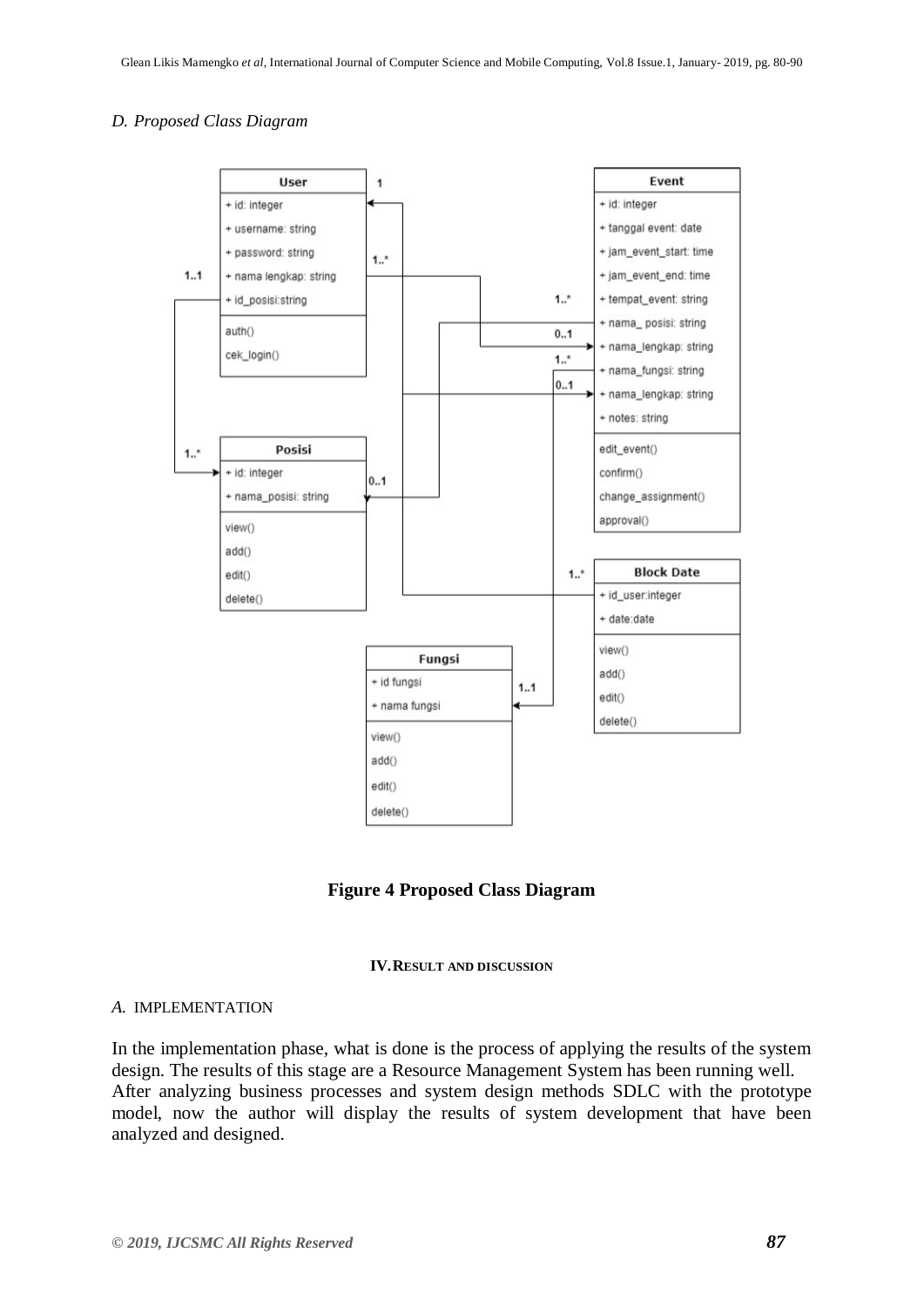#### *D. Proposed Class Diagram*



**Figure 4 Proposed Class Diagram**



#### *A.* IMPLEMENTATION

In the implementation phase, what is done is the process of applying the results of the system design. The results of this stage are a Resource Management System has been running well. After analyzing business processes and system design methods SDLC with the prototype model, now the author will display the results of system development that have been analyzed and designed.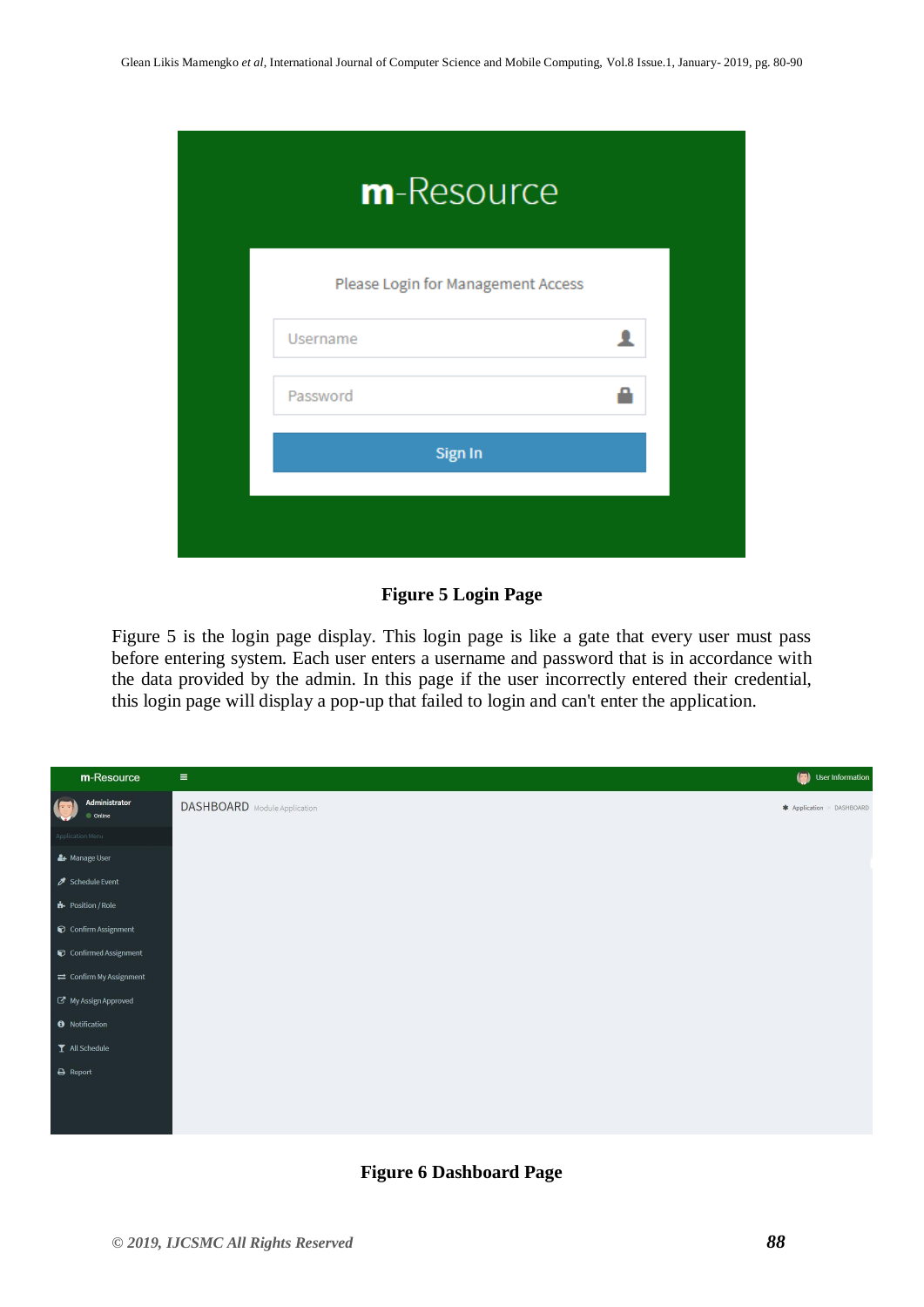| m-Resource |                                    |   |  |  |  |  |  |
|------------|------------------------------------|---|--|--|--|--|--|
|            | Please Login for Management Access |   |  |  |  |  |  |
|            | Username                           | Ω |  |  |  |  |  |
|            | Password                           |   |  |  |  |  |  |
|            | Sign In                            |   |  |  |  |  |  |
|            |                                    |   |  |  |  |  |  |
|            |                                    |   |  |  |  |  |  |

# **Figure 5 Login Page**

Figure 5 is the login page display. This login page is like a gate that every user must pass before entering system. Each user enters a username and password that is in accordance with the data provided by the admin. In this page if the user incorrectly entered their credential, this login page will display a pop-up that failed to login and can't enter the application.



#### **Figure 6 Dashboard Page**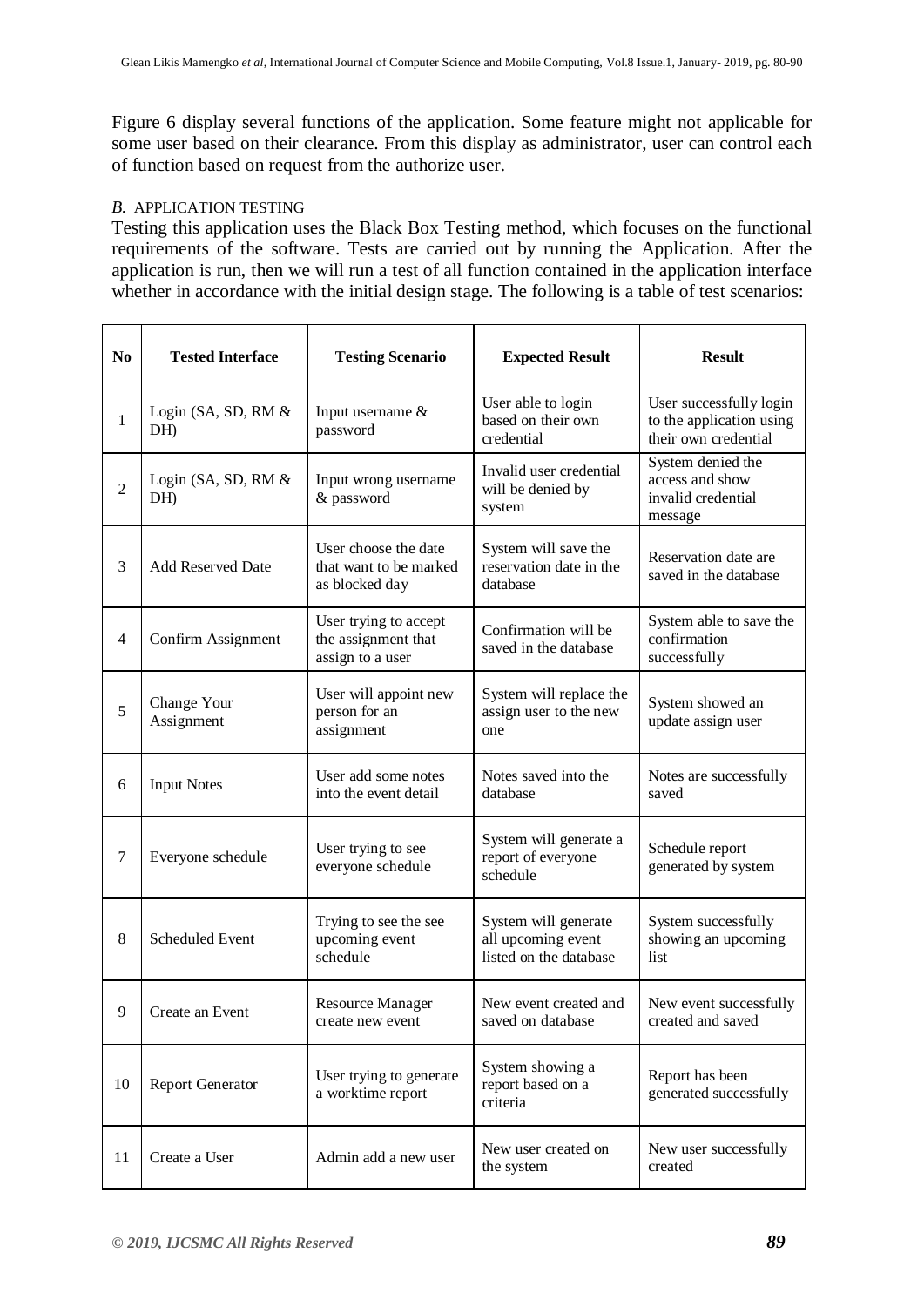Figure 6 display several functions of the application. Some feature might not applicable for some user based on their clearance. From this display as administrator, user can control each of function based on request from the authorize user.

#### *B.* APPLICATION TESTING

Testing this application uses the Black Box Testing method, which focuses on the functional requirements of the software. Tests are carried out by running the Application. After the application is run, then we will run a test of all function contained in the application interface whether in accordance with the initial design stage. The following is a table of test scenarios:

| N <sub>0</sub> | <b>Tested Interface</b>      | <b>Testing Scenario</b>                                          | <b>Expected Result</b>                                               | <b>Result</b>                                                               |
|----------------|------------------------------|------------------------------------------------------------------|----------------------------------------------------------------------|-----------------------------------------------------------------------------|
| $\mathbf{1}$   | Login (SA, SD, RM $&$<br>DH) | Input username &<br>password                                     | User able to login<br>based on their own<br>credential               | User successfully login<br>to the application using<br>their own credential |
| $\overline{2}$ | Login (SA, SD, RM $&$<br>DH) | Input wrong username<br>& password                               | Invalid user credential<br>will be denied by<br>system               | System denied the<br>access and show<br>invalid credential<br>message       |
| 3              | Add Reserved Date            | User choose the date<br>that want to be marked<br>as blocked day | System will save the<br>reservation date in the<br>database          | Reservation date are<br>saved in the database                               |
| $\overline{4}$ | Confirm Assignment           | User trying to accept<br>the assignment that<br>assign to a user | Confirmation will be<br>saved in the database                        | System able to save the<br>confirmation<br>successfully                     |
| 5              | Change Your<br>Assignment    | User will appoint new<br>person for an<br>assignment             | System will replace the<br>assign user to the new<br>one             | System showed an<br>update assign user                                      |
| 6              | <b>Input Notes</b>           | User add some notes<br>into the event detail                     | Notes saved into the<br>database                                     | Notes are successfully<br>saved                                             |
| $\overline{7}$ | Everyone schedule            | User trying to see<br>everyone schedule                          | System will generate a<br>report of everyone<br>schedule             | Schedule report<br>generated by system                                      |
| 8              | <b>Scheduled Event</b>       | Trying to see the see<br>upcoming event<br>schedule              | System will generate<br>all upcoming event<br>listed on the database | System successfully<br>showing an upcoming<br>list                          |
| 9              | Create an Event              | <b>Resource Manager</b><br>create new event                      | New event created and<br>saved on database                           | New event successfully<br>created and saved                                 |
| 10             | <b>Report Generator</b>      | User trying to generate<br>a worktime report                     | System showing a<br>report based on a<br>criteria                    | Report has been<br>generated successfully                                   |
| 11             | Create a User                | Admin add a new user                                             | New user created on<br>the system                                    | New user successfully<br>created                                            |